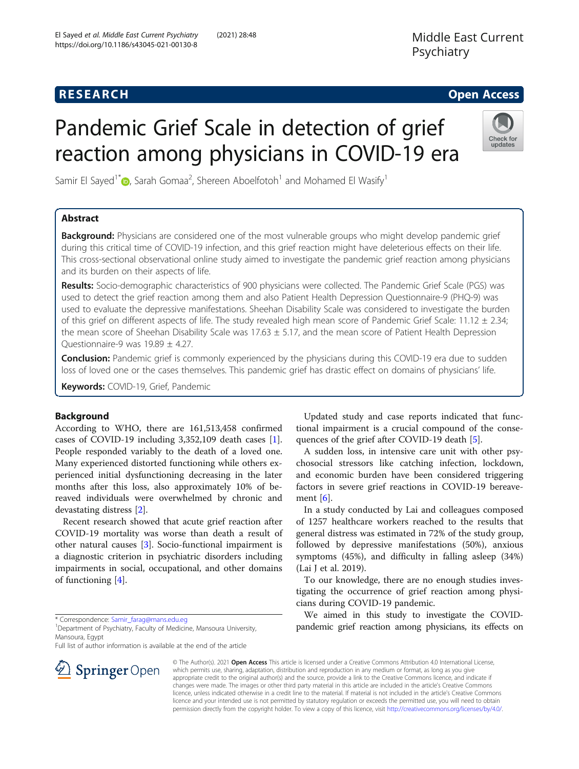# **RESEARCH CHEAR CHEAR CHEAR CHEAR CHEAR CHEAR CHEAR CHEAR CHEAR CHEAR CHEAR CHEAR CHEAR CHEAR CHEAR CHEAR CHEAR**

# Pandemic Grief Scale in detection of grief reaction among physicians in COVID-19 era



Samir El Sayed<sup>1\*</sup> (D), Sarah Gomaa<sup>2</sup>, Shereen Aboelfotoh<sup>1</sup> and Mohamed El Wasify<sup>1</sup>

# Abstract

**Background:** Physicians are considered one of the most vulnerable groups who might develop pandemic grief during this critical time of COVID-19 infection, and this grief reaction might have deleterious effects on their life. This cross-sectional observational online study aimed to investigate the pandemic grief reaction among physicians and its burden on their aspects of life.

Results: Socio-demographic characteristics of 900 physicians were collected. The Pandemic Grief Scale (PGS) was used to detect the grief reaction among them and also Patient Health Depression Questionnaire-9 (PHQ-9) was used to evaluate the depressive manifestations. Sheehan Disability Scale was considered to investigate the burden of this grief on different aspects of life. The study revealed high mean score of Pandemic Grief Scale: 11.12  $\pm$  2.34; the mean score of Sheehan Disability Scale was 17.63  $\pm$  5.17, and the mean score of Patient Health Depression Questionnaire-9 was  $19.89 \pm 4.27$ .

**Conclusion:** Pandemic grief is commonly experienced by the physicians during this COVID-19 era due to sudden loss of loved one or the cases themselves. This pandemic grief has drastic effect on domains of physicians' life.

Keywords: COVID-19, Grief, Pandemic

# Background

According to WHO, there are 161,513,458 confirmed cases of COVID-19 including 3,352,109 death cases [\[1](#page-6-0)]. People responded variably to the death of a loved one. Many experienced distorted functioning while others experienced initial dysfunctioning decreasing in the later months after this loss, also approximately 10% of bereaved individuals were overwhelmed by chronic and devastating distress [[2\]](#page-7-0).

Recent research showed that acute grief reaction after COVID-19 mortality was worse than death a result of other natural causes [[3\]](#page-7-0). Socio-functional impairment is a diagnostic criterion in psychiatric disorders including impairments in social, occupational, and other domains of functioning [[4\]](#page-7-0).

\* Correspondence: [Samir\\_farag@mans.edu.eg](mailto:Samir_farag@mans.edu.eg) <sup>1</sup>

<sup>1</sup> Department of Psychiatry, Faculty of Medicine, Mansoura University, Mansoura, Egypt

Full list of author information is available at the end of the article



Updated study and case reports indicated that functional impairment is a crucial compound of the consequences of the grief after COVID-19 death [\[5](#page-7-0)].

A sudden loss, in intensive care unit with other psychosocial stressors like catching infection, lockdown, and economic burden have been considered triggering factors in severe grief reactions in COVID-19 bereavement [[6\]](#page-7-0).

In a study conducted by Lai and colleagues composed of 1257 healthcare workers reached to the results that general distress was estimated in 72% of the study group, followed by depressive manifestations (50%), anxious symptoms (45%), and difficulty in falling asleep (34%) (Lai J et al. 2019).

To our knowledge, there are no enough studies investigating the occurrence of grief reaction among physicians during COVID-19 pandemic.

We aimed in this study to investigate the COVIDpandemic grief reaction among physicians, its effects on

© The Author(s). 2021 Open Access This article is licensed under a Creative Commons Attribution 4.0 International License, which permits use, sharing, adaptation, distribution and reproduction in any medium or format, as long as you give appropriate credit to the original author(s) and the source, provide a link to the Creative Commons licence, and indicate if changes were made. The images or other third party material in this article are included in the article's Creative Commons licence, unless indicated otherwise in a credit line to the material. If material is not included in the article's Creative Commons licence and your intended use is not permitted by statutory regulation or exceeds the permitted use, you will need to obtain permission directly from the copyright holder. To view a copy of this licence, visit <http://creativecommons.org/licenses/by/4.0/>.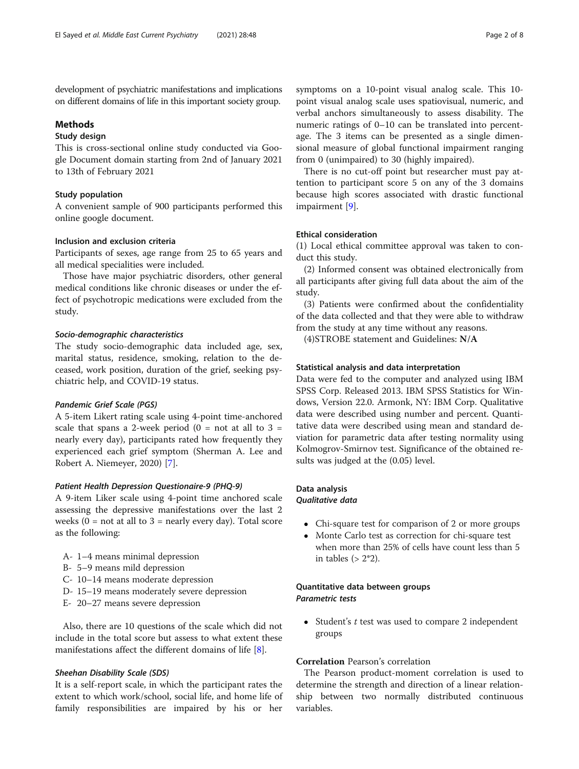development of psychiatric manifestations and implications on different domains of life in this important society group.

#### Methods

# Study design

This is cross-sectional online study conducted via Google Document domain starting from 2nd of January 2021 to 13th of February 2021

#### Study population

A convenient sample of 900 participants performed this online google document.

#### Inclusion and exclusion criteria

Participants of sexes, age range from 25 to 65 years and all medical specialities were included.

Those have major psychiatric disorders, other general medical conditions like chronic diseases or under the effect of psychotropic medications were excluded from the study.

#### Socio-demographic characteristics

The study socio-demographic data included age, sex, marital status, residence, smoking, relation to the deceased, work position, duration of the grief, seeking psychiatric help, and COVID-19 status.

#### Pandemic Grief Scale (PGS)

A 5-item Likert rating scale using 4-point time-anchored scale that spans a 2-week period  $(0 = not at all to 3 =$ nearly every day), participants rated how frequently they experienced each grief symptom (Sherman A. Lee and Robert A. Niemeyer, 2020) [[7\]](#page-7-0).

#### Patient Health Depression Questionaire-9 (PHQ-9)

A 9-item Liker scale using 4-point time anchored scale assessing the depressive manifestations over the last 2 weeks  $(0 = not at all to 3 = nearly every day)$ . Total score as the following:

- A- 1–4 means minimal depression
- B- 5–9 means mild depression
- C- 10–14 means moderate depression
- D- 15–19 means moderately severe depression
- E- 20–27 means severe depression

Also, there are 10 questions of the scale which did not include in the total score but assess to what extent these manifestations affect the different domains of life [\[8](#page-7-0)].

#### Sheehan Disability Scale (SDS)

It is a self-report scale, in which the participant rates the extent to which work/school, social life, and home life of family responsibilities are impaired by his or her

symptoms on a 10-point visual analog scale. This 10 point visual analog scale uses spatiovisual, numeric, and verbal anchors simultaneously to assess disability. The numeric ratings of 0–10 can be translated into percentage. The 3 items can be presented as a single dimensional measure of global functional impairment ranging from 0 (unimpaired) to 30 (highly impaired).

There is no cut-off point but researcher must pay attention to participant score 5 on any of the 3 domains because high scores associated with drastic functional impairment [[9\]](#page-7-0).

#### Ethical consideration

(1) Local ethical committee approval was taken to conduct this study.

(2) Informed consent was obtained electronically from all participants after giving full data about the aim of the study.

(3) Patients were confirmed about the confidentiality of the data collected and that they were able to withdraw from the study at any time without any reasons.

(4)STROBE statement and Guidelines: N/A

#### Statistical analysis and data interpretation

Data were fed to the computer and analyzed using IBM SPSS Corp. Released 2013. IBM SPSS Statistics for Windows, Version 22.0. Armonk, NY: IBM Corp. Qualitative data were described using number and percent. Quantitative data were described using mean and standard deviation for parametric data after testing normality using Kolmogrov-Smirnov test. Significance of the obtained results was judged at the (0.05) level.

#### Data analysis

### Qualitative data

- Chi-square test for comparison of 2 or more groups
- Monte Carlo test as correction for chi-square test when more than 25% of cells have count less than 5 in tables  $(> 2*2)$ .

#### Quantitative data between groups Parametric tests

 $\bullet$  Student's t test was used to compare 2 independent groups

# Correlation Pearson's correlation

The Pearson product-moment correlation is used to determine the strength and direction of a linear relationship between two normally distributed continuous variables.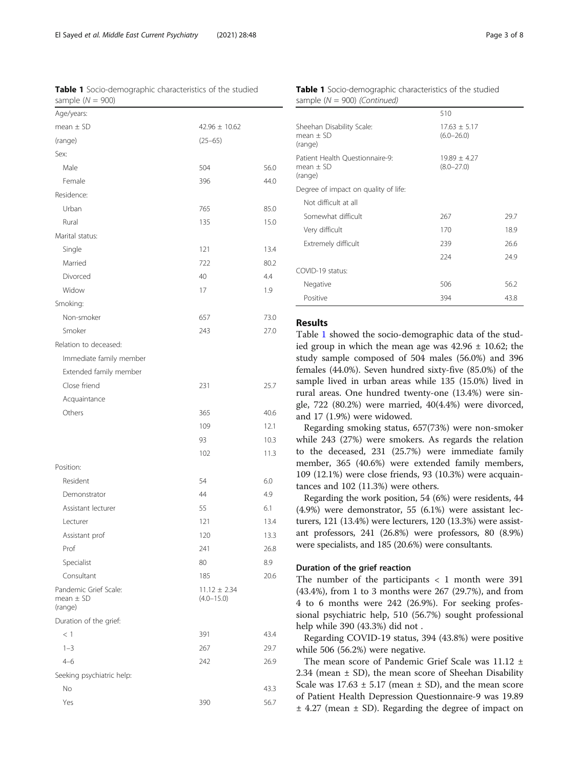Table 1 Socio-demographic characteristics of the studied sample  $(N = 900)$ 

| Age/years:                                        |                                    |      |
|---------------------------------------------------|------------------------------------|------|
| $mean \pm SD$                                     | $42.96 \pm 10.62$                  |      |
| (range)                                           | $(25 - 65)$                        |      |
| Sex:                                              |                                    |      |
| Male                                              | 504                                | 56.0 |
| Female                                            | 396                                | 44.0 |
| Residence:                                        |                                    |      |
| Urban                                             | 765                                | 85.0 |
| Rural                                             | 135                                | 15.0 |
| Marital status:                                   |                                    |      |
| Single                                            | 121                                | 13.4 |
| Married                                           | 722                                | 80.2 |
| Divorced                                          | 40                                 | 4.4  |
| Widow                                             | 17                                 | 1.9  |
| Smoking:                                          |                                    |      |
| Non-smoker                                        | 657                                | 73.0 |
| Smoker                                            | 243                                | 27.0 |
| Relation to deceased:                             |                                    |      |
| Immediate family member                           |                                    |      |
| Extended family member                            |                                    |      |
| Close friend                                      | 231                                | 25.7 |
| Acquaintance                                      |                                    |      |
| Others                                            | 365                                | 40.6 |
|                                                   | 109                                | 12.1 |
|                                                   | 93                                 | 10.3 |
|                                                   | 102                                | 11.3 |
| Position:                                         |                                    |      |
| Resident                                          | 54                                 | 6.0  |
| Demonstrator                                      | 44                                 | 4.9  |
| Assistant lecturer                                | 55                                 | 6.1  |
| Lecturer                                          | 121                                | 13.4 |
| Assistant prof                                    | 120                                | 13.3 |
| Prof                                              | 241                                | 26.8 |
| Specialist                                        | 80                                 | 8.9  |
| Consultant                                        | 185                                | 20.6 |
| Pandemic Grief Scale:<br>mean $\pm$ SD<br>(range) | $11.12 \pm 2.34$<br>$(4.0 - 15.0)$ |      |
| Duration of the grief:                            |                                    |      |
| $<$ 1                                             | 391                                | 43.4 |
| $1 - 3$                                           | 267                                | 29.7 |
| $4 - 6$                                           | 242                                | 26.9 |
| Seeking psychiatric help:                         |                                    |      |
| No                                                |                                    | 43.3 |
| Yes                                               | 390                                | 56.7 |
|                                                   |                                    |      |

| <b>Table 1</b> Socio-demographic characteristics of the studied |  |  |
|-----------------------------------------------------------------|--|--|
| sample $(N = 900)$ (Continued)                                  |  |  |

|                                                           | 510                                |      |
|-----------------------------------------------------------|------------------------------------|------|
| Sheehan Disability Scale:<br>$mean + SD$<br>(range)       | $17.63 + 5.17$<br>$(6.0 - 26.0)$   |      |
| Patient Health Questionnaire-9:<br>$mean + SD$<br>(range) | $19.89 \pm 4.27$<br>$(8.0 - 27.0)$ |      |
| Degree of impact on quality of life:                      |                                    |      |
| Not difficult at all                                      |                                    |      |
| Somewhat difficult                                        | 267                                | 297  |
| Very difficult                                            | 170                                | 18.9 |
| Extremely difficult                                       | 239                                | 26.6 |
|                                                           | 224                                | 249  |
| COVID-19 status:                                          |                                    |      |
| Negative                                                  | 506                                | 56.2 |
| Positive                                                  | 394                                | 43.8 |

### Results

Table 1 showed the socio-demographic data of the studied group in which the mean age was  $42.96 \pm 10.62$ ; the study sample composed of 504 males (56.0%) and 396 females (44.0%). Seven hundred sixty-five (85.0%) of the sample lived in urban areas while 135 (15.0%) lived in rural areas. One hundred twenty-one (13.4%) were single, 722 (80.2%) were married, 40(4.4%) were divorced, and 17 (1.9%) were widowed.

Regarding smoking status, 657(73%) were non-smoker while 243 (27%) were smokers. As regards the relation to the deceased, 231 (25.7%) were immediate family member, 365 (40.6%) were extended family members, 109 (12.1%) were close friends, 93 (10.3%) were acquaintances and 102 (11.3%) were others.

Regarding the work position, 54 (6%) were residents, 44 (4.9%) were demonstrator, 55 (6.1%) were assistant lecturers, 121 (13.4%) were lecturers, 120 (13.3%) were assistant professors, 241 (26.8%) were professors, 80 (8.9%) were specialists, and 185 (20.6%) were consultants.

#### Duration of the grief reaction

The number of the participants  $<$  1 month were 391 (43.4%), from 1 to 3 months were 267 (29.7%), and from 4 to 6 months were 242 (26.9%). For seeking professional psychiatric help, 510 (56.7%) sought professional help while 390 (43.3%) did not .

Regarding COVID-19 status, 394 (43.8%) were positive while 506 (56.2%) were negative.

The mean score of Pandemic Grief Scale was 11.12 ± 2.34 (mean  $\pm$  SD), the mean score of Sheehan Disability Scale was  $17.63 \pm 5.17$  (mean  $\pm$  SD), and the mean score of Patient Health Depression Questionnaire-9 was 19.89 ± 4.27 (mean ± SD). Regarding the degree of impact on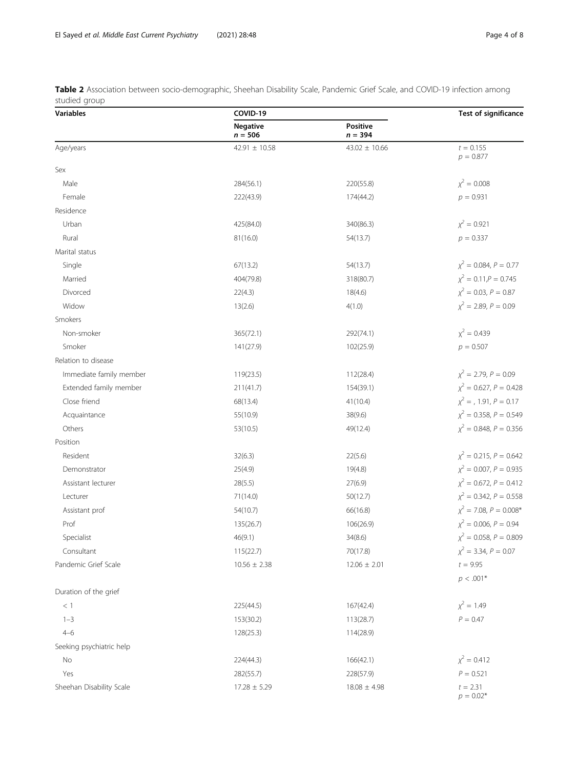<span id="page-3-0"></span>

| Table 2 Association between socio-demographic, Sheehan Disability Scale, Pandemic Grief Scale, and COVID-19 infection among |  |  |  |  |  |
|-----------------------------------------------------------------------------------------------------------------------------|--|--|--|--|--|
| studied group                                                                                                               |  |  |  |  |  |

| Variables                | COVID-19              | <b>Test of significance</b> |                               |
|--------------------------|-----------------------|-----------------------------|-------------------------------|
|                          | Negative<br>$n = 506$ | Positive<br>$n = 394$       |                               |
| Age/years                | $42.91 \pm 10.58$     | $43.02 \pm 10.66$           | $t = 0.155$<br>$p = 0.877$    |
| Sex                      |                       |                             |                               |
| Male                     | 284(56.1)             | 220(55.8)                   | $\chi^2 = 0.008$              |
| Female                   | 222(43.9)             | 174(44.2)                   | $p = 0.931$                   |
| Residence                |                       |                             |                               |
| Urban                    | 425(84.0)             | 340(86.3)                   | $x^2 = 0.921$                 |
| Rural                    | 81(16.0)              | 54(13.7)                    | $p = 0.337$                   |
| Marital status           |                       |                             |                               |
| Single                   | 67(13.2)              | 54(13.7)                    | $\chi^2 = 0.084, P = 0.77$    |
| Married                  | 404(79.8)             | 318(80.7)                   | $\chi^2 = 0.11, P = 0.745$    |
| Divorced                 | 22(4.3)               | 18(4.6)                     | $\chi^2 = 0.03$ , $P = 0.87$  |
| Widow                    | 13(2.6)               | 4(1.0)                      | $\chi^2$ = 2.89, P = 0.09     |
| Smokers                  |                       |                             |                               |
| Non-smoker               | 365(72.1)             | 292(74.1)                   | $x^2 = 0.439$                 |
| Smoker                   | 141(27.9)             | 102(25.9)                   | $p = 0.507$                   |
| Relation to disease      |                       |                             |                               |
| Immediate family member  | 119(23.5)             | 112(28.4)                   | $\chi^2$ = 2.79, P = 0.09     |
| Extended family member   | 211(41.7)             | 154(39.1)                   | $\chi^2$ = 0.627, P = 0.428   |
| Close friend             | 68(13.4)              | 41(10.4)                    | $\chi^2 =$ , 1.91, $P = 0.17$ |
| Acquaintance             | 55(10.9)              | 38(9.6)                     | $\chi^2$ = 0.358, P = 0.549   |
| Others                   | 53(10.5)              | 49(12.4)                    | $\chi^2$ = 0.848, P = 0.356   |
| Position                 |                       |                             |                               |
| Resident                 | 32(6.3)               | 22(5.6)                     | $\chi^2$ = 0.215, P = 0.642   |
| Demonstrator             | 25(4.9)               | 19(4.8)                     | $\chi^2$ = 0.007, P = 0.935   |
| Assistant lecturer       | 28(5.5)               | 27(6.9)                     | $\chi^2$ = 0.672, P = 0.412   |
| Lecturer                 | 71(14.0)              | 50(12.7)                    | $\chi^2$ = 0.342, P = 0.558   |
| Assistant prof           | 54(10.7)              | 66(16.8)                    | $\chi^2$ = 7.08, P = 0.008*   |
| Prof                     | 135(26.7)             | 106(26.9)                   | $\chi^2$ = 0.006, P = 0.94    |
| Specialist               | 46(9.1)               | 34(8.6)                     | $\chi^2 = 0.058, P = 0.809$   |
| Consultant               | 115(22.7)             | 70(17.8)                    | $\chi^2$ = 3.34, P = 0.07     |
| Pandemic Grief Scale     | $10.56 \pm 2.38$      | $12.06 \pm 2.01$            | $t = 9.95$                    |
|                          |                       |                             | $p < .001*$                   |
| Duration of the grief    |                       |                             |                               |
| $<$ 1                    | 225(44.5)             | 167(42.4)                   | $\chi^2 = 1.49$               |
| $1 - 3$                  | 153(30.2)             | 113(28.7)                   | $P = 0.47$                    |
| $4 - 6$                  | 128(25.3)             | 114(28.9)                   |                               |
| Seeking psychiatric help |                       |                             |                               |
| No                       | 224(44.3)             | 166(42.1)                   | $\chi^2 = 0.412$              |
| Yes                      | 282(55.7)             | 228(57.9)                   | $P = 0.521$                   |
| Sheehan Disability Scale | $17.28 \pm 5.29$      | $18.08 \pm 4.98$            | $t = 2.31$<br>$p = 0.02*$     |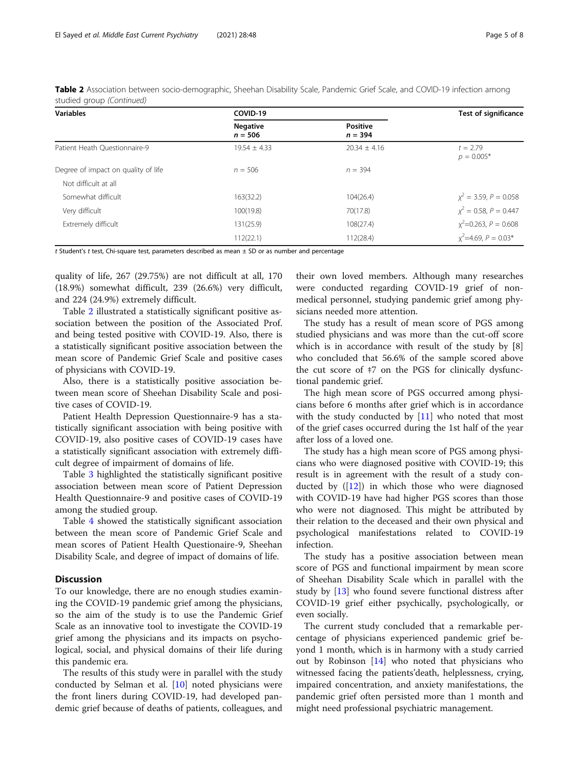| <b>Variables</b>                    | COVID-19                     | <b>Test of significance</b>  |                            |  |
|-------------------------------------|------------------------------|------------------------------|----------------------------|--|
|                                     | <b>Negative</b><br>$n = 506$ | <b>Positive</b><br>$n = 394$ |                            |  |
| Patient Heath Questionnaire-9       | $19.54 \pm 4.33$             | $20.34 \pm 4.16$             | $t = 2.79$<br>$p = 0.005*$ |  |
| Degree of impact on quality of life | $n = 506$                    | $n = 394$                    |                            |  |
| Not difficult at all                |                              |                              |                            |  |
| Somewhat difficult                  | 163(32.2)                    | 104(26.4)                    | $x^2 = 3.59$ , $P = 0.058$ |  |
| Very difficult                      | 100(19.8)                    | 70(17.8)                     | $x^2 = 0.58$ , $P = 0.447$ |  |
| Extremely difficult                 | 131(25.9)                    | 108(27.4)                    | $x^2$ =0.263, $P = 0.608$  |  |
|                                     | 112(22.1)                    | 112(28.4)                    | $x^2$ =4.69, $P = 0.03*$   |  |

Table 2 Association between socio-demographic, Sheehan Disability Scale, Pandemic Grief Scale, and COVID-19 infection among studied group (Continued)

t Student's t test, Chi-square test, parameters described as mean ± SD or as number and percentage

quality of life, 267 (29.75%) are not difficult at all, 170 (18.9%) somewhat difficult, 239 (26.6%) very difficult, and 224 (24.9%) extremely difficult.

Table [2](#page-3-0) illustrated a statistically significant positive association between the position of the Associated Prof. and being tested positive with COVID-19. Also, there is a statistically significant positive association between the mean score of Pandemic Grief Scale and positive cases of physicians with COVID-19.

Also, there is a statistically positive association between mean score of Sheehan Disability Scale and positive cases of COVID-19.

Patient Health Depression Questionnaire-9 has a statistically significant association with being positive with COVID-19, also positive cases of COVID-19 cases have a statistically significant association with extremely difficult degree of impairment of domains of life.

Table [3](#page-5-0) highlighted the statistically significant positive association between mean score of Patient Depression Health Questionnaire-9 and positive cases of COVID-19 among the studied group.

Table [4](#page-6-0) showed the statistically significant association between the mean score of Pandemic Grief Scale and mean scores of Patient Health Questionaire-9, Sheehan Disability Scale, and degree of impact of domains of life.

#### **Discussion**

To our knowledge, there are no enough studies examining the COVID-19 pandemic grief among the physicians, so the aim of the study is to use the Pandemic Grief Scale as an innovative tool to investigate the COVID-19 grief among the physicians and its impacts on psychological, social, and physical domains of their life during this pandemic era.

The results of this study were in parallel with the study conducted by Selman et al. [\[10\]](#page-7-0) noted physicians were the front liners during COVID-19, had developed pandemic grief because of deaths of patients, colleagues, and

their own loved members. Although many researches were conducted regarding COVID-19 grief of nonmedical personnel, studying pandemic grief among physicians needed more attention.

The study has a result of mean score of PGS among studied physicians and was more than the cut-off score which is in accordance with result of the study by [8] who concluded that 56.6% of the sample scored above the cut score of ‡7 on the PGS for clinically dysfunctional pandemic grief.

The high mean score of PGS occurred among physicians before 6 months after grief which is in accordance with the study conducted by  $[11]$  $[11]$  who noted that most of the grief cases occurred during the 1st half of the year after loss of a loved one.

The study has a high mean score of PGS among physicians who were diagnosed positive with COVID-19; this result is in agreement with the result of a study conducted by  $([12])$  $([12])$  $([12])$  in which those who were diagnosed with COVID-19 have had higher PGS scores than those who were not diagnosed. This might be attributed by their relation to the deceased and their own physical and psychological manifestations related to COVID-19 infection.

The study has a positive association between mean score of PGS and functional impairment by mean score of Sheehan Disability Scale which in parallel with the study by [[13\]](#page-7-0) who found severe functional distress after COVID-19 grief either psychically, psychologically, or even socially.

The current study concluded that a remarkable percentage of physicians experienced pandemic grief beyond 1 month, which is in harmony with a study carried out by Robinson [[14](#page-7-0)] who noted that physicians who witnessed facing the patients'death, helplessness, crying, impaired concentration, and anxiety manifestations, the pandemic grief often persisted more than 1 month and might need professional psychiatric management.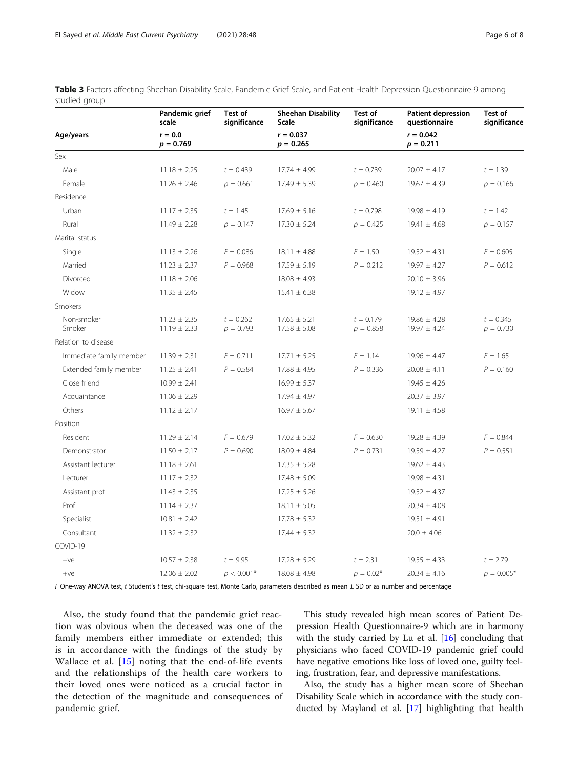|                         | Pandemic grief<br>scale              | Test of<br>significance    | <b>Sheehan Disability</b><br>Scale   | Test of<br>significance    | <b>Patient depression</b><br>questionnaire | Test of<br>significance    |  |
|-------------------------|--------------------------------------|----------------------------|--------------------------------------|----------------------------|--------------------------------------------|----------------------------|--|
| Age/years               | $r = 0.0$<br>$p = 0.769$             |                            | $r = 0.037$<br>$p = 0.265$           |                            | $r = 0.042$<br>$p = 0.211$                 |                            |  |
| Sex                     |                                      |                            |                                      |                            |                                            |                            |  |
| Male                    | $11.18 \pm 2.25$                     | $t = 0.439$                | $17.74 \pm 4.99$                     | $t = 0.739$                | $20.07 \pm 4.17$                           | $t = 1.39$                 |  |
| Female                  | $11.26 \pm 2.46$                     | $p = 0.661$                | $17.49 \pm 5.39$                     | $p = 0.460$                | $19.67 \pm 4.39$                           | $p = 0.166$                |  |
| Residence               |                                      |                            |                                      |                            |                                            |                            |  |
| Urban                   | $11.17 \pm 2.35$                     | $t = 1.45$                 | $17.69 \pm 5.16$                     | $t = 0.798$                | $19.98 \pm 4.19$                           | $t = 1.42$                 |  |
| Rural                   | $11.49 \pm 2.28$                     | $p = 0.147$                | $17.30 \pm 5.24$                     | $p = 0.425$                | $19.41 \pm 4.68$                           | $p = 0.157$                |  |
| Marital status          |                                      |                            |                                      |                            |                                            |                            |  |
| Single                  | $11.13 \pm 2.26$                     | $F = 0.086$                | $18.11 \pm 4.88$                     | $F = 1.50$                 | $19.52 \pm 4.31$                           | $F = 0.605$                |  |
| Married                 | $11.23 \pm 2.37$                     | $P = 0.968$                | $17.59 \pm 5.19$                     | $P = 0.212$                | $19.97 \pm 4.27$                           | $P = 0.612$                |  |
| Divorced                | $11.18 \pm 2.06$                     |                            | $18.08 \pm 4.93$                     |                            | $20.10 \pm 3.96$                           |                            |  |
| Widow                   | $11.35 \pm 2.45$                     |                            | $15.41 \pm 6.38$                     |                            | $19.12 \pm 4.97$                           |                            |  |
| <b>Smokers</b>          |                                      |                            |                                      |                            |                                            |                            |  |
| Non-smoker<br>Smoker    | $11.23 \pm 2.35$<br>$11.19 \pm 2.33$ | $t = 0.262$<br>$p = 0.793$ | $17.65 \pm 5.21$<br>$17.58 \pm 5.08$ | $t = 0.179$<br>$p = 0.858$ | $19.86 \pm 4.28$<br>$19.97 \pm 4.24$       | $t = 0.345$<br>$p = 0.730$ |  |
| Relation to disease     |                                      |                            |                                      |                            |                                            |                            |  |
| Immediate family member | $11.39 \pm 2.31$                     | $F = 0.711$                | $17.71 \pm 5.25$                     | $F = 1.14$                 | $19.96 \pm 4.47$                           | $F = 1.65$                 |  |
| Extended family member  | $11.25 \pm 2.41$                     | $P = 0.584$                | $17.88 \pm 4.95$                     | $P = 0.336$                | $20.08 \pm 4.11$                           | $P = 0.160$                |  |
| Close friend            | $10.99 \pm 2.41$                     |                            | $16.99 \pm 5.37$                     |                            | $19.45 \pm 4.26$                           |                            |  |
| Acquaintance            | $11.06 \pm 2.29$                     |                            | $17.94 \pm 4.97$                     |                            | $20.37 \pm 3.97$                           |                            |  |
| Others                  | $11.12 \pm 2.17$                     |                            | $16.97 \pm 5.67$                     |                            | $19.11 \pm 4.58$                           |                            |  |
| Position                |                                      |                            |                                      |                            |                                            |                            |  |
| Resident                | $11.29 \pm 2.14$                     | $F = 0.679$                | $17.02 \pm 5.32$                     | $F = 0.630$                | $19.28 \pm 4.39$                           | $F = 0.844$                |  |
| Demonstrator            | $11.50 \pm 2.17$                     | $P = 0.690$                | $18.09 \pm 4.84$                     | $P = 0.731$                | $19.59 \pm 4.27$                           | $P = 0.551$                |  |
| Assistant lecturer      | $11.18 \pm 2.61$                     |                            | $17.35 \pm 5.28$                     |                            | $19.62 \pm 4.43$                           |                            |  |
| Lecturer                | $11.17 \pm 2.32$                     |                            | $17.48 \pm 5.09$                     |                            | $19.98 \pm 4.31$                           |                            |  |
| Assistant prof          | $11.43 \pm 2.35$                     |                            | $17.25 \pm 5.26$                     |                            | $19.52 \pm 4.37$                           |                            |  |
| Prof                    | $11.14 \pm 2.37$                     |                            | $18.11 \pm 5.05$                     |                            | $20.34 \pm 4.08$                           |                            |  |
| Specialist              | $10.81\pm2.42$                       |                            | $17.78 \pm 5.32$                     |                            | $19.51 \pm 4.91$                           |                            |  |
| Consultant              | $11.32 \pm 2.32$                     |                            | $17.44 \pm 5.32$                     |                            | $20.0 \pm 4.06$                            |                            |  |
| COVID-19                |                                      |                            |                                      |                            |                                            |                            |  |
| $-ve$                   | $10.57 \pm 2.38$                     | $t = 9.95$                 | $17.28 \pm 5.29$                     | $t = 2.31$                 | $19.55 \pm 4.33$                           | $t = 2.79$                 |  |
| $+ve$                   | $12.06 \pm 2.02$                     | $p < 0.001*$               | $18.08 \pm 4.98$                     | $p = 0.02*$                | $20.34 \pm 4.16$                           | $p = 0.005*$               |  |

<span id="page-5-0"></span>

|               |  |  |  |  |  | Table 3 Factors affecting Sheehan Disability Scale, Pandemic Grief Scale, and Patient Health Depression Questionnaire-9 among |  |  |
|---------------|--|--|--|--|--|-------------------------------------------------------------------------------------------------------------------------------|--|--|
| studied group |  |  |  |  |  |                                                                                                                               |  |  |

F One-way ANOVA test, t Student's t test, chi-square test, Monte Carlo, parameters described as mean ± SD or as number and percentage

Also, the study found that the pandemic grief reaction was obvious when the deceased was one of the family members either immediate or extended; this is in accordance with the findings of the study by Wallace et al. [\[15](#page-7-0)] noting that the end-of-life events and the relationships of the health care workers to their loved ones were noticed as a crucial factor in the detection of the magnitude and consequences of pandemic grief.

This study revealed high mean scores of Patient Depression Health Questionnaire-9 which are in harmony with the study carried by Lu et al.  $[16]$  $[16]$  concluding that physicians who faced COVID-19 pandemic grief could have negative emotions like loss of loved one, guilty feeling, frustration, fear, and depressive manifestations.

Also, the study has a higher mean score of Sheehan Disability Scale which in accordance with the study conducted by Mayland et al. [\[17\]](#page-7-0) highlighting that health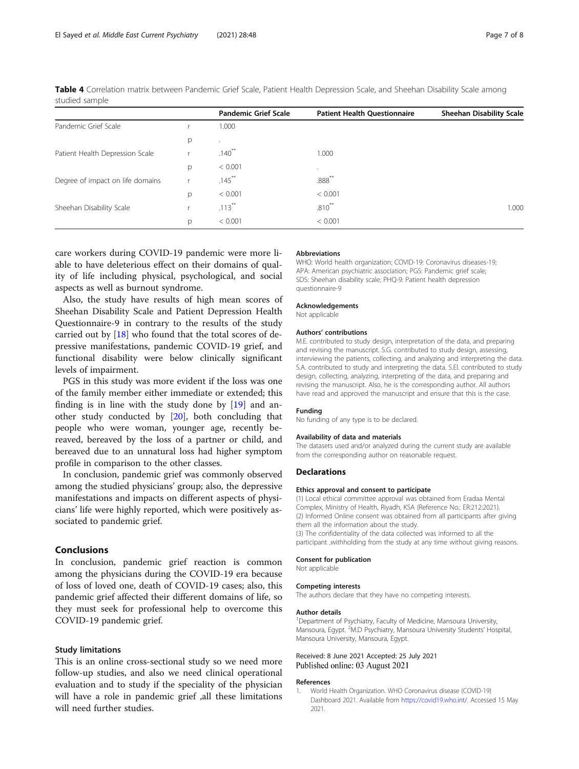|                                  |   | <b>Pandemic Grief Scale</b> | <b>Patient Health Questionnaire</b> | <b>Sheehan Disability Scale</b> |
|----------------------------------|---|-----------------------------|-------------------------------------|---------------------------------|
| Pandemic Grief Scale             |   | 1.000                       |                                     |                                 |
|                                  | р | $\ddot{\phantom{a}}$        |                                     |                                 |
| Patient Health Depression Scale  |   | $.140^{**}$                 | 1.000                               |                                 |
|                                  | p | < 0.001                     | $\cdot$                             |                                 |
| Degree of impact on life domains |   | $.145***$                   | $.888**$                            |                                 |
|                                  | p | < 0.001                     | < 0.001                             |                                 |
| Sheehan Disability Scale         |   | $.113***$                   | $.810**$                            | 1.000                           |
|                                  | p | < 0.001                     | < 0.001                             |                                 |

<span id="page-6-0"></span>Table 4 Correlation matrix between Pandemic Grief Scale, Patient Health Depression Scale, and Sheehan Disability Scale among studied sample

care workers during COVID-19 pandemic were more liable to have deleterious effect on their domains of quality of life including physical, psychological, and social aspects as well as burnout syndrome.

Also, the study have results of high mean scores of Sheehan Disability Scale and Patient Depression Health Questionnaire-9 in contrary to the results of the study carried out by [[18\]](#page-7-0) who found that the total scores of depressive manifestations, pandemic COVID-19 grief, and functional disability were below clinically significant levels of impairment.

PGS in this study was more evident if the loss was one of the family member either immediate or extended; this finding is in line with the study done by [\[19](#page-7-0)] and another study conducted by [\[20](#page-7-0)], both concluding that people who were woman, younger age, recently bereaved, bereaved by the loss of a partner or child, and bereaved due to an unnatural loss had higher symptom profile in comparison to the other classes.

In conclusion, pandemic grief was commonly observed among the studied physicians' group; also, the depressive manifestations and impacts on different aspects of physicians' life were highly reported, which were positively associated to pandemic grief.

#### Conclusions

In conclusion, pandemic grief reaction is common among the physicians during the COVID-19 era because of loss of loved one, death of COVID-19 cases; also, this pandemic grief affected their different domains of life, so they must seek for professional help to overcome this COVID-19 pandemic grief.

#### Study limitations

This is an online cross-sectional study so we need more follow-up studies, and also we need clinical operational evaluation and to study if the speciality of the physician will have a role in pandemic grief ,all these limitations will need further studies.

#### Abbreviations

WHO: World health organization; COVID-19: Coronavirus diseases-19; APA: American psychiatric association; PGS: Pandemic grief scale; SDS: Sheehan disability scale; PHQ-9: Patient health depression questionnaire-9

Acknowledgements

Not applicable

#### Authors' contributions

M.E. contributed to study design, interpretation of the data, and preparing and revising the manuscript. S.G. contributed to study design, assessing, interviewing the patients, collecting, and analyzing and interpreting the data. S.A. contributed to study and interpreting the data. S.El. contributed to study design, collecting, analyzing, interpreting of the data, and preparing and revising the manuscript. Also, he is the corresponding author. All authors have read and approved the manuscript and ensure that this is the case.

#### Funding

No funding of any type is to be declared.

#### Availability of data and materials

The datasets used and/or analyzed during the current study are available from the corresponding author on reasonable request.

#### **Declarations**

#### Ethics approval and consent to participate

(1) Local ethical committee approval was obtained from Eradaa Mental Complex, Ministry of Health, Riyadh, KSA (Reference No.: ER:212:2021). (2) Informed Online consent was obtained from all participants after giving them all the information about the study. (3) The confidentiality of the data collected was informed to all the

participant ,withholding from the study at any time without giving reasons.

#### Consent for publication

Not applicable

#### Competing interests

The authors declare that they have no competing interests.

#### Author details

<sup>1</sup> Department of Psychiatry, Faculty of Medicine, Mansoura University Mansoura, Egypt. <sup>2</sup>M.D Psychiatry, Mansoura University Students' Hospital Mansoura University, Mansoura, Egypt.

#### Received: 8 June 2021 Accepted: 25 July 2021 Published online: 03 August 2021

#### References

1. World Health Organization. WHO Coronavirus disease (COVID-19) Dashboard 2021. Available from [https://covid19.who.int/.](https://covid19.who.int/) Accessed 15 May 2021.